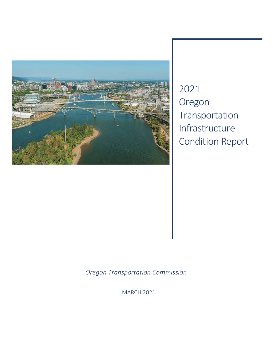

2021 Oregon Transportation Infrastructure Condition Report

*Oregon Transportation Commission*

MARCH 2021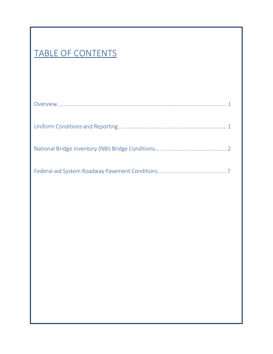## TABLE OF CONTENTS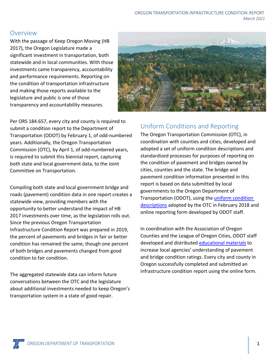### <span id="page-4-0"></span>Overview

With the passage of Keep Oregon Moving (HB 2017), the Oregon Legislature made a significant investment in transportation, both statewide and in local communities. With those investments came transparency, accountability and performance requirements. Reporting on the condition of transportation infrastructure and making those reports available to the legislature and public is one of those transparency and accountability measures.



Per ORS 184.657, every city and county is required to submit a condition report to the Department of Transportation (ODOT) by February 1, of odd-numbered years. Additionally, the Oregon Transportation Commission (OTC), by April 1, of odd-numbered years, is required to submit this biennial report, capturing both state and local government data, to the Joint Committee on Transportation.

Compiling both state and local government bridge and roads (pavement) condition data in one report creates a statewide view, providing members with the opportunity to better understand the impact of HB 2017 investments over time, as the legislation rolls out. Since the previous Oregon Transportation Infrastructure Condition Report was prepared in 2019, the percent of pavements and bridges in fair or better condition has remained the same, though one percent of both bridges and pavements changed from good condition to fair condition.

The aggregated statewide data can inform future conversations between the OTC and the legislature about additional investments needed to keep Oregon's transportation system in a state of good repair.

## <span id="page-4-1"></span>Uniform Conditions and Reporting

The Oregon Transportation Commission (OTC), in coordination with counties and cities, developed and adopted a set of uniform condition descriptions and standardized processes for purposes of reporting on the condition of pavement and bridges owned by cities, counties and the state. The bridge and pavement condition information presented in this report is based on data submitted by local governments to the Oregon Department of Transportation (ODOT), using the [uniform condition](https://www.oregon.gov/odot/TAP/Pages/KOM-Local-Govt.aspx)  [descriptions](https://www.oregon.gov/odot/TAP/Pages/KOM-Local-Govt.aspx) adopted by the OTC in February 2018 and online reporting form developed by ODOT staff.

In coordination with the Association of Oregon Counties and the League of Oregon Cities, ODOT staff developed and distributed [educational materials](https://www.oregon.gov/odot/TAP/Pages/KOM-Local-Govt.aspx) to increase local agencies' understanding of pavement and bridge condition ratings. Every city and county in Oregon successfully completed and submitted an infrastructure condition report using the online form.

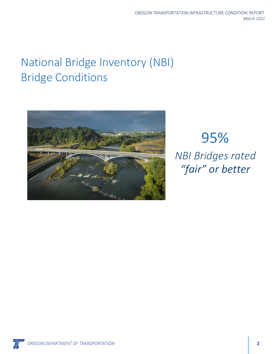## <span id="page-5-0"></span>National Bridge Inventory (NBI) Bridge Conditions



95% *NBI Bridges rated "fair" or better*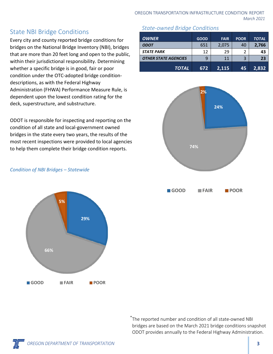## State NBI Bridge Conditions

Every city and county reported bridge conditions for bridges on the National Bridge Inventory (NBI), bridges that are more than 20 feet long and open to the public, within their jurisdictional responsibility. Determining whether a specific bridge is in good, fair or poor condition under the OTC-adopted bridge conditiondescriptions, as with the Federal Highway Administration (FHWA) Performance Measure Rule, is dependent upon the lowest condition rating for the deck, superstructure, and substructure.

ODOT is responsible for inspecting and reporting on the condition of all state and local-government owned bridges in the state every two years, the results of the most recent inspections were provided to local agencies to help them complete their bridge condition reports.

### *Condition of NBI Bridges – Statewide*



### *State-owned Bridge Conditions*

| <b>OWNER</b>                | <b>GOOD</b> | <b>FAIR</b> | <b>POOR</b> | <b>TOTAL</b> |
|-----------------------------|-------------|-------------|-------------|--------------|
| <b>ODOT</b>                 | 651         | 2,075       | 40          | 2,766        |
| <b>STATE PARK</b>           | 12          | 29          | 2           | 43           |
| <b>OTHER STATE AGENCIES</b> | g           | 11          | 3           | 23           |
| <b>TOTAL</b>                | 672         | 2,115       | 45          | 2,832        |



\* The reported number and condition of all state-owned NBI bridges are based on the March 2021 bridge conditions snapshot ODOT provides annually to the Federal Highway Administration.

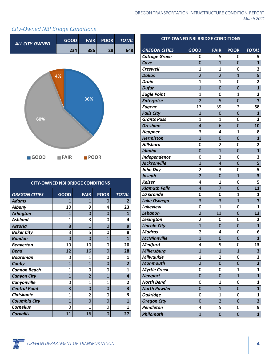### *City-Owned NBI Bridge Conditions*



| <b>CITY-OWNED NBI BRIDGE CONDITIONS</b> |                |                |                |                         |  |
|-----------------------------------------|----------------|----------------|----------------|-------------------------|--|
| <b>OREGON CITIES</b>                    | <b>GOOD</b>    | <b>FAIR</b>    | <b>POOR</b>    | <b>TOTAL</b>            |  |
| <b>Adams</b>                            | 1              | 1              | 0              | 2                       |  |
| <b>Albany</b>                           | 10             | 9              | 4              | 23                      |  |
| <b>Arlington</b>                        | 1              | 0              | 0              | 1                       |  |
| <b>Ashland</b>                          | 1              | 3              | 0              | 4                       |  |
| <b>Astoria</b>                          | 8              | 1              | 0              | 9                       |  |
| <b>Baker City</b>                       | 3              | 5              | 0              | 8                       |  |
| <b>Bandon</b>                           | $\Omega$       | 0              | $\mathbf{1}$   | $\mathbf{1}$            |  |
| <b>Beaverton</b>                        | 10             | 10             | 0              | 20                      |  |
| <b>Bend</b>                             | 12             | 16             | 0              | 28                      |  |
| <b>Boardman</b>                         | 0              | 1              | 0              | 1                       |  |
| Canby                                   | $\mathbf{1}$   | $\overline{1}$ | 0              | $\overline{2}$          |  |
| <b>Cannon Beach</b>                     | 1              | N              | 0              | 1                       |  |
| <b>Canyon City</b>                      | $\overline{1}$ | $\overline{2}$ | $\overline{1}$ | 4                       |  |
| Canyonville                             | 0              | 1              | $\mathbf{1}$   | 2                       |  |
| <b>Central Point</b>                    | 3              | $\Omega$       | $\Omega$       | $\overline{\mathbf{3}}$ |  |
| <b>Clatskanie</b>                       | 1              | 2              | 0              | 3                       |  |
| <b>Columbia City</b>                    | $\mathbf{1}$   | 0              | 0              | $\overline{1}$          |  |
| <b>Cornelius</b>                        | 0              | 1              | 0              | 1                       |  |
| <b>Corvallis</b>                        | 11             | 16             | O              | 27                      |  |

|                                        | <b>CITY-OWNED NBI BRIDGE CONDITIONS</b> |                                  |                     |                                         |  |  |
|----------------------------------------|-----------------------------------------|----------------------------------|---------------------|-----------------------------------------|--|--|
| <b>OREGON CITIES</b>                   | <b>GOOD</b>                             | <b>FAIR</b>                      | <b>POOR</b>         | <b>TOTAL</b>                            |  |  |
| <b>Cottage Grove</b>                   | 0                                       | 5                                | 0                   | 5                                       |  |  |
| Cove                                   | $\overline{0}$                          | $\overline{1}$                   | $\overline{0}$      | $\overline{\mathbf{1}}$                 |  |  |
| <b>Creswell</b>                        | 1                                       | $\mathbf{1}$                     | 0                   | 2                                       |  |  |
| <b>Dallas</b>                          | $\overline{2}$                          | $\overline{2}$                   | $\overline{1}$      | 5                                       |  |  |
| <b>Drain</b>                           | $\overline{1}$                          | $\overline{1}$                   | 0                   | $\overline{2}$                          |  |  |
| <b>Dufur</b>                           | $\overline{1}$                          | $\overline{0}$                   | $\overline{0}$      | $\overline{\mathbf{1}}$                 |  |  |
| <b>Eagle Point</b>                     | 1                                       | 0                                | 1                   | $\overline{2}$                          |  |  |
| <b>Enterprise</b>                      | $\overline{2}$                          | 5                                | 0                   | $\overline{\mathbf{z}}$                 |  |  |
| <b>Eugene</b>                          | 17                                      | 39                               | $\overline{2}$      | 58                                      |  |  |
| <b>Falls City</b>                      | $\overline{1}$                          | 0                                | $\overline{0}$      | $\mathbf{1}$                            |  |  |
| <b>Grants Pass</b>                     | $\mathbf 1$                             | $\overline{1}$                   | 0                   | $\overline{2}$                          |  |  |
| <b>Gresham</b>                         | 4                                       | 6                                | $\overline{0}$      | 10                                      |  |  |
| <b>Heppner</b>                         | 3                                       | 4                                | 1                   | 8                                       |  |  |
| <b>Hermiston</b>                       | $\overline{1}$                          | 0                                | 0                   | $\mathbf{1}$                            |  |  |
| <b>Hillsboro</b>                       | 0                                       | $\overline{2}$                   | 0                   | 2                                       |  |  |
| <b>Idanha</b>                          | $\overline{0}$                          | $\overline{1}$                   | $\overline{0}$      | $\mathbf{1}$                            |  |  |
| Independence                           | 0                                       | 3                                | 0                   | 3                                       |  |  |
| <b>Jacksonville</b>                    | $\overline{1}$                          | $\overline{4}$                   | $\overline{0}$      | 5                                       |  |  |
| <b>John Day</b>                        | $\overline{2}$                          | 3                                | 0                   | 5                                       |  |  |
| Joseph                                 | $\overline{2}$                          | $\overline{0}$                   | $\overline{1}$      | $\overline{\mathbf{3}}$                 |  |  |
| <b>Keizer</b>                          | 4                                       | $\overline{1}$                   | 0                   | 5                                       |  |  |
| <b>Klamath Falls</b>                   | $\overline{4}$                          | 7                                | 0                   | 11                                      |  |  |
| La Grande                              | 0                                       | 0                                | $\mathbf 1$         | $\mathbf{1}$                            |  |  |
| Lake Oswego                            | 3                                       | 3                                | $\overline{1}$      | 7                                       |  |  |
| <b>Lakeview</b>                        | 0                                       | 1                                | 0                   | $\mathbf{1}$                            |  |  |
| <b>Lebanon</b>                         | $\overline{2}$                          | 11                               | 0                   | 13                                      |  |  |
| Lexington                              | $\overline{2}$                          | 0                                | 0                   | 2                                       |  |  |
| <b>Lincoln City</b>                    | $\overline{1}$                          | 0                                | $\overline{0}$      | $\mathbf{1}$                            |  |  |
| <b>Madras</b>                          | $\overline{2}$                          | 4                                | 0                   | 6                                       |  |  |
| <b>McMinnville</b>                     | $\overline{1}$                          | $\overline{0}$                   | 0                   | $\mathbf{1}$                            |  |  |
| <b>Medford</b>                         | $\overline{4}$                          | 9                                | 0                   | 13                                      |  |  |
| <b>Millersburg</b><br><b>Milwaukie</b> | $\overline{1}$<br>$\mathbf 1$           | $\overline{1}$<br>$\overline{2}$ | $\overline{1}$      | 3                                       |  |  |
|                                        | $\overline{2}$                          |                                  | 0                   | 3                                       |  |  |
| <b>Monmouth</b>                        |                                         | $\overline{0}$                   | $\overline{0}$      | $\overline{\mathbf{2}}$<br>$\mathbf{1}$ |  |  |
| <b>Myrtle Creek</b><br><b>Newport</b>  | 0<br>$\overline{0}$                     | 0<br>$\overline{0}$              | 1<br>$\overline{1}$ | $\mathbf{1}$                            |  |  |
| <b>North Bend</b>                      | 0                                       | 1                                | 0                   | 1                                       |  |  |
| <b>North Powder</b>                    | $\overline{0}$                          | $\overline{1}$                   | $\mathbf 0$         | $\mathbf{1}$                            |  |  |
| <b>Oakridge</b>                        | 0                                       | 1                                | 0                   | 1                                       |  |  |
| <b>Oregon City</b>                     | $\overline{0}$                          | $\overline{2}$                   | $\mathbf 0$         | $\overline{\mathbf{2}}$                 |  |  |
| Pendleton                              | 4                                       | 5                                | 0                   | 9                                       |  |  |
| Philomath                              | $\overline{1}$                          | $\overline{0}$                   | $\mathbf 0$         | $\mathbf{1}$                            |  |  |
|                                        |                                         |                                  |                     |                                         |  |  |

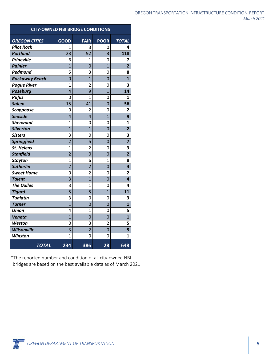| OREGON TRANSPORTATION INFRASTRUCTURE CONDITION. REPORT |            |
|--------------------------------------------------------|------------|
|                                                        | March 2021 |

| <b>CITY-OWNED NBI BRIDGE CONDITIONS</b> |                 |                 |                |                         |
|-----------------------------------------|-----------------|-----------------|----------------|-------------------------|
| <b>OREGON CITIES</b>                    | GOOD            | <b>FAIR</b>     | <b>POOR</b>    | <b>TOTAL</b>            |
| <b>Pilot Rock</b>                       | 1               | 3               | 0              | 4                       |
| <b>Portland</b>                         | $\overline{23}$ | $\overline{92}$ | $\overline{3}$ | 118                     |
| <b>Prineville</b>                       | 6               | 1               | 0              | 7                       |
| <b>Rainier</b>                          | $\overline{1}$  | $\overline{0}$  | $\overline{1}$ | $\overline{2}$          |
| <b>Redmond</b>                          | 5               | 3               | 0              | 8                       |
| <b>Rockaway Beach</b>                   | $\overline{0}$  | $\overline{1}$  | 0              | $\overline{\mathbf{1}}$ |
| <b>Rogue River</b>                      | $\overline{1}$  | 2               | 0              | 3                       |
| <b>Roseburg</b>                         | $\overline{4}$  | 9               | $\overline{1}$ | 14                      |
| <b>Rufus</b>                            | 0               | $\mathbf 1$     | 0              | 1                       |
| <b>Salem</b>                            | 15              | 41              | $\overline{0}$ | 56                      |
| <b>Scappoose</b>                        | 0               | 2               | 0              | 2                       |
| <b>Seaside</b>                          | $\overline{4}$  | $\overline{4}$  | $\overline{1}$ | 9                       |
| <b>Sherwood</b>                         | $\mathbf 1$     | 0               | 0              | $\overline{\mathbf{1}}$ |
| <b>Silverton</b>                        | $\overline{1}$  | $\overline{1}$  | $\overline{0}$ | $\overline{2}$          |
| <b>Sisters</b>                          | 3               | 0               | 0              | 3                       |
| <b>Springfield</b>                      | $\overline{2}$  | 5               | $\overline{0}$ | $\overline{\mathbf{z}}$ |
| <b>St. Helens</b>                       | $\overline{1}$  | $\overline{2}$  | 0              | 3                       |
| <b>Stanfield</b>                        | $\overline{2}$  | $\overline{0}$  | $\overline{0}$ | $\overline{2}$          |
| <b>Stayton</b>                          | $\overline{1}$  | 6               | 1              | 8                       |
| <b>Sutherlin</b>                        | $\overline{2}$  | $\overline{2}$  | 0              | 4                       |
| <b>Sweet Home</b>                       | 0               | $\overline{2}$  | 0              | $\overline{\mathbf{c}}$ |
| <b>Talent</b>                           | $\overline{3}$  | $\overline{1}$  | $\overline{0}$ | $\overline{4}$          |
| <b>The Dalles</b>                       | 3               | 1               | 0              | 4                       |
| <b>Tigard</b>                           | 5               | 5               | $\overline{1}$ | 11                      |
| <b>Tualatin</b>                         | 3               | 0               | 0              | 3                       |
| <b>Turner</b>                           | $\overline{1}$  | $\overline{0}$  | $\overline{0}$ | $\overline{\mathbf{1}}$ |
| <b>Union</b>                            | 4               | 1               | 0              | 5                       |
| Veneta                                  | $\overline{1}$  | 0               | $\overline{0}$ | $\overline{\mathbf{1}}$ |
| Weston                                  | 0               | 3               | $\overline{2}$ | 5                       |
| <b>Wilsonville</b>                      | 3               | $\overline{2}$  | $\overline{0}$ | 5                       |
| <b>Winston</b>                          | $\overline{1}$  | 0               | $\overline{0}$ | $\mathbf{1}$            |
| <b>TOTAL</b>                            | 234             | 386             | 28             | 648                     |

\*The reported number and condition of all city-owned NBI bridges are based on the best available data as of March 2021.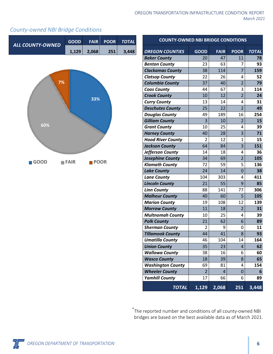| OREGON TRANSPORTATION INFRASTRUCTURE CONDITION. REPORT |  |            |  |
|--------------------------------------------------------|--|------------|--|
|                                                        |  | March 2021 |  |

### *County-owned NBI Bridge Conditions*



| <b>COUNTY-OWNED NBI BRIDGE CONDITIONS</b> |                |             |                |              |  |
|-------------------------------------------|----------------|-------------|----------------|--------------|--|
| <b>OREGON COUNTIES</b>                    | <b>GOOD</b>    | <b>FAIR</b> | <b>POOR</b>    | <b>TOTAL</b> |  |
| <b>Baker County</b>                       | 20             | 47          | 11             | 78           |  |
| <b>Benton County</b>                      | 23             | 63          | 7              | 93           |  |
| <b>Clackamas County</b>                   | 38             | 114         | $\overline{7}$ | 159          |  |
| <b>Clatsop County</b>                     | 22             | 26          | 4              | 52           |  |
| <b>Columbia County</b>                    | 37             | 40          | $\overline{2}$ | 79           |  |
| <b>Coos County</b>                        | 44             | 67          | 3              | 114          |  |
| <b>Crook County</b>                       | 10             | 12          | $\overline{2}$ | 24           |  |
| <b>Curry County</b>                       | 13             | 14          | 4              | 31           |  |
| <b>Deschutes County</b>                   | 25             | 22          | $\overline{2}$ | 49           |  |
| <b>Douglas County</b>                     | 49             | 189         | 16             | 254          |  |
| <b>Gilliam County</b>                     | $\overline{3}$ | 10          | $\overline{2}$ | 15           |  |
| <b>Grant County</b>                       | 10             | 25          | 4              | 39           |  |
| <b>Harney County</b>                      | 40             | 28          | $\overline{3}$ | 71           |  |
| <b>Hood River County</b>                  | $\overline{2}$ | 12          | 1              | 15           |  |
| <b>Jackson County</b>                     | 64             | 84          | 3              | 151          |  |
| Jefferson County                          | 14             | 18          | 4              | 36           |  |
| <b>Josephine County</b>                   | 34             | 69          | $\overline{2}$ | 105          |  |
| <b>Klamath County</b>                     | 72             | 59          | 5              | 136          |  |
| <b>Lake County</b>                        | 24             | 14          | $\overline{0}$ | 38           |  |
| <b>Lane County</b>                        | 104            | 303         | 4              | 411          |  |
| <b>Lincoln County</b>                     | 21             | 55          | 9              | 85           |  |
| <b>Linn County</b>                        | 88             | 141         | 77             | 306          |  |
| <b>Malheur County</b>                     | 40             | 60          | 5              | 105          |  |
| <b>Marion County</b>                      | 19             | 108         | 12             | 139          |  |
| <b>Morrow County</b>                      | 11             | 18          | $\overline{2}$ | 31           |  |
| <b>Multnomah County</b>                   | 10             | 25          | 4              | 39           |  |
| <b>Polk County</b>                        | 21             | 62          | 6              | 89           |  |
| <b>Sherman County</b>                     | $\overline{2}$ | 9           | 0              | 11           |  |
| <b>Tillamook County</b>                   | 44             | 41          | 8              | 93           |  |
| Umatilla County                           | 46             | 104         | 14             | 164          |  |
| <b>Union County</b>                       | 35             | 23          | 4              | 62           |  |
| <b>Wallowa County</b>                     | 38             | 16          | 6              | 60           |  |
| <b>Wasco County</b>                       | 18             | 39          | 8              | 65           |  |
| <b>Washington County</b>                  | 69             | 81          | 4              | 154          |  |
| <b>Wheeler County</b>                     | $\overline{2}$ | 4           | $\overline{0}$ | 6            |  |
| <b>Yamhill County</b>                     | 17             | 66          | 6              | 89           |  |
| <b>TOTAL</b>                              | 1,129          | 2,068       | 251            | 3,448        |  |

\* The reported number and conditions of all county-owned NBI bridges are based on the best available data as of March 2021.

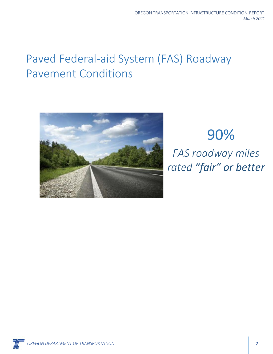## <span id="page-10-0"></span>Paved Federal-aid System (FAS) Roadway Pavement Conditions



# 90% *FAS roadway miles rated "fair" or better*

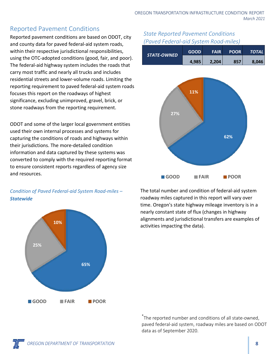## Reported Pavement Conditions

Reported pavement conditions are based on ODOT, city and county data for paved federal-aid system roads, within their respective jurisdictional responsibilities, using the OTC-adopted conditions (good, fair, and poor). The federal-aid highway system includes the roads that carry most traffic and nearly all trucks and includes residential streets and lower-volume roads. Limiting the reporting requirement to paved federal-aid system roads focuses this report on the roadways of highest significance, excluding unimproved, gravel, brick, or stone roadways from the reporting requirement.

ODOT and some of the larger local government entities used their own internal processes and systems for capturing the conditions of roads and highways within their jurisdictions. The more-detailed condition information and data captured by these systems was converted to comply with the required reporting format to ensure consistent reports regardless of agency size and resources.



*Condition of Paved Federal-aid System Road-miles – Statewide*

### *State Reported Pavement Conditions (Paved Federal-aid System Road-miles)*

| <b>STATE-OWNED</b> | <b>GOOD</b> | <b>FAIR</b> | <b>POOR</b> | <i><b>TOTAL</b></i> |
|--------------------|-------------|-------------|-------------|---------------------|
|                    | 4,985       | 2,204       | 857         | 8.046               |



The total number and condition of federal-aid system roadway miles captured in this report will vary over time. Oregon's state highway mileage inventory is in a nearly constant state of flux (changes in highway alignments and jurisdictional transfers are examples of activities impacting the data).

\* The reported number and conditions of all state-owned, paved federal-aid system, roadway miles are based on ODOT data as of September 2020.

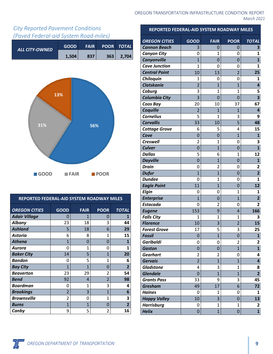

## *City Reported Pavement Conditions (Paved Federal-aid System Road-miles)*



| REPORTED FEDERAL-AID SYSTEM ROADWAY MILES |                         |              |                          |                |  |
|-------------------------------------------|-------------------------|--------------|--------------------------|----------------|--|
| <b>OREGON CITIES</b>                      | <b>GOOD</b>             | <b>FAIR</b>  | <b>POOR</b>              | <b>TOTAL</b>   |  |
| <b>Adair Village</b>                      | 0                       | 1            | 0                        |                |  |
| <b>Albany</b>                             | 23                      | 18           | 3                        | 44             |  |
| <b>Ashland</b>                            | 5                       | 18           | 6                        | 29             |  |
| <b>Astoria</b>                            | 6                       | 8            | 1                        | 15             |  |
| <b>Athena</b>                             | 1                       | 0            | 0                        | 1              |  |
| Aurora                                    | O                       | $\mathbf{1}$ | 0                        | 1              |  |
| <b>Baker City</b>                         | 14                      | 5            | 1                        | 20             |  |
| <b>Bandon</b>                             | 0                       | 5            | 1                        | 6              |  |
| <b>Bay City</b>                           | 1                       | 1            | 0                        | $\overline{2}$ |  |
| <b>Beaverton</b>                          | 23                      | 29           | $\overline{\mathcal{L}}$ | 54             |  |
| <b>Bend</b>                               | 92                      | 4            | $\overline{\mathbf{c}}$  | 98             |  |
| <b>Boardman</b>                           | 0                       | 1            | 3                        | 4              |  |
| <b>Brookings</b>                          | $\overline{\mathbf{c}}$ | 3            | $\mathbf{1}$             | 6              |  |
| <b>Brownsville</b>                        | $\mathfrak z$           | 0            | 1                        | 3              |  |
| <b>Burns</b>                              | 1                       | 1            | 0                        | $\overline{2}$ |  |
| Canby                                     | 9                       | 5            | 2                        | 16             |  |

### **REPORTED FEDERAL-AID SYSTEM ROADWAY MILES**

| <b>OREGON CITIES</b>                 | GOOD                 | <b>FAIR</b>         | <b>POOR</b>                      | <b>TOTAL</b>            |
|--------------------------------------|----------------------|---------------------|----------------------------------|-------------------------|
| <b>Cannon Beach</b>                  | 3                    | 0                   | 0                                | 3                       |
| <b>Canyon City</b>                   | 0                    | $\mathbf{1}$        | 0                                | 1                       |
| Canyonville                          | $\overline{1}$       | 0                   | 0                                | $\mathbf{1}$            |
| <b>Cave Junction</b>                 | $\overline{1}$       | 0                   | 0                                | 1                       |
| <b>Central Point</b>                 | 10                   | 13                  | $\overline{2}$                   | 25                      |
| Chiloquin                            | 1                    | 0                   | 0                                | 1                       |
| <b>Clatskanie</b>                    | $\overline{2}$       | $\overline{1}$      | $\overline{1}$                   | 4                       |
| Coburg                               | 3                    | $\overline{1}$      | $\mathbf 1$                      | 5                       |
| <b>Columbia City</b>                 | 3                    | 0                   | 0                                | 3                       |
| Coos Bay                             | 20                   | 10                  | 37                               | 67                      |
| Coquille                             | $\overline{2}$       | $\overline{1}$      | $\overline{1}$                   | 4                       |
| <b>Cornelius</b>                     | 5                    | $\mathbf 1$         | 3                                | 9                       |
| <b>Corvallis</b>                     | 33                   | 10                  | 5                                | 48                      |
| <b>Cottage Grove</b>                 | 6                    | 5                   | 4                                | 15                      |
| Cove                                 | $\overline{0}$       | 0                   | $\overline{1}$                   | $\mathbf{1}$            |
| <b>Creswell</b>                      | $\overline{2}$       | $\overline{1}$      | 0                                | 3                       |
| <b>Culver</b>                        | $\overline{0}$       | $\overline{1}$      | 0                                | $\overline{\mathbf{1}}$ |
| <b>Dallas</b>                        | 5                    | 6                   | 1                                | 12                      |
| <b>Dayville</b>                      | 0                    | $\overline{1}$      | 0                                | $\mathbf{1}$            |
| <b>Drain</b>                         | 0                    | $\overline{2}$      | 0                                | $\overline{2}$          |
| <b>Dufur</b>                         | $\overline{1}$       | $\overline{1}$      | 0                                | $\overline{\mathbf{2}}$ |
| <b>Dundee</b>                        | 0                    | 1                   | 0                                | $\mathbf{1}$            |
| <b>Eagle Point</b>                   | 11                   | $\overline{1}$      | $\overline{0}$                   | 12                      |
| <b>Elgin</b>                         | 0                    | 0                   | $\mathbf 1$                      | 1                       |
| <b>Enterprise</b>                    | $\overline{1}$       | 0                   | $\overline{1}$                   | $\overline{\mathbf{2}}$ |
| <b>Estacada</b>                      | 0                    | $\overline{2}$      | 0                                | $\overline{2}$          |
| <b>Eugene</b>                        | 153                  | 9                   | 4                                | 166                     |
| <b>Falls City</b>                    | $\mathbf 1$          | $\mathbf{1}$        | $\overline{1}$                   | 3                       |
| <b>Florence</b>                      | 10                   | 3                   | $\overline{2}$                   | 15                      |
| <b>Forest Grove</b>                  | 17                   | 5<br>$\overline{1}$ | 3                                | 25                      |
| <b>Fossil</b>                        | $\overline{0}$       |                     | $\overline{0}$                   | $\overline{\mathbf{1}}$ |
| <b>Garibaldi</b>                     | 0                    | 0                   | $\overline{2}$<br>$\overline{1}$ | $\overline{2}$          |
| <b>Gaston</b>                        | 0                    | $\mathbf 0$         |                                  | $\mathbf{1}$            |
| <b>Gearhart</b><br><b>Gervais</b>    | 2<br>$\overline{2}$  | 2<br>$\overline{1}$ | 0<br>$\overline{1}$              | 4<br>4                  |
| <b>Gladstone</b>                     | 4                    |                     |                                  |                         |
| <b>Glendale</b>                      |                      | 3                   | 1<br>$\overline{1}$              | 8<br>$\overline{2}$     |
|                                      | $\overline{0}$<br>33 | $\overline{1}$      | 3                                | 45                      |
| <b>Grants Pass</b><br><b>Gresham</b> | 49                   | 9<br>17             | 6                                | 72                      |
| <b>Haines</b>                        | 0                    | 1                   | 0                                | $\mathbf{1}$            |
| <b>Happy Valley</b>                  | 10                   | 3                   | 0                                | 13                      |
| <b>Harrisburg</b>                    | 0                    | 1                   | $\overline{1}$                   | 2                       |
| <b>Helix</b>                         | 0                    | $\overline{1}$      | 0                                | $\mathbf{1}$            |
|                                      |                      |                     |                                  |                         |

Ж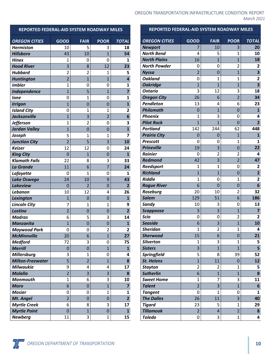| REPORTED FEDERAL-AID SYSTEM ROADWAY MILES |                |                |                |                         |
|-------------------------------------------|----------------|----------------|----------------|-------------------------|
| <b>OREGON CITIES</b>                      | <b>GOOD</b>    | <b>FAIR</b>    | <b>POOR</b>    | <b>TOTAL</b>            |
| <b>Hermiston</b>                          | 10             | 5              | 3              | 18                      |
| <b>Hillsboro</b>                          | 43             | 10             | $\overline{1}$ | 54                      |
| <b>Hines</b>                              | 1              | 0              | 0              | 1                       |
| <b>Hood River</b>                         | 3              | 8              | 12             | 23                      |
| <b>Hubbard</b>                            | $\overline{2}$ | $\overline{2}$ | 1              | 5                       |
| <b>Huntington</b>                         | $\overline{2}$ | $\overline{1}$ | $\overline{1}$ | 4                       |
| <b>Imbler</b>                             | $\overline{1}$ | 0              | 0              | 1                       |
| Independence                              | $\overline{1}$ | 5              | $\overline{1}$ | 7                       |
| <b>lone</b>                               | 0              | $\mathbf{1}$   | 0              | 1                       |
| <b>Irrigon</b>                            | $\overline{1}$ | $\overline{0}$ | 0              | $\overline{\mathbf{1}}$ |
| <b>Island City</b>                        | 0              | 1              | 1              | $\overline{2}$          |
| <b>Jacksonville</b>                       | $\overline{1}$ | 3              | $\overline{2}$ | 6                       |
| <b>Jefferson</b>                          | $\overline{1}$ | $\overline{2}$ | 0              | 3                       |
| <b>Jordan Valley</b>                      | $\overline{1}$ | $\overline{0}$ | $\overline{0}$ | $\overline{\mathbf{1}}$ |
| Joseph                                    | 5              | $\mathbf 1$    | 1              | 7                       |
| <b>Junction City</b>                      | $\overline{2}$ | 5              | 3              | 10                      |
| <b>Keizer</b>                             | 12             | 12             | 0              | 24                      |
| <b>King City</b>                          | 0              | $\mathbf{1}$   | 0              | 1                       |
| <b>Klamath Falls</b>                      | 22             | 8              | 3              | 33                      |
| <b>La Grande</b>                          | 11             | 6              | $\overline{7}$ | 24                      |
| Lafayette                                 | 0              | 1              | 0              | 1                       |
| <b>Lake Oswego</b>                        | 24             | 10             | 9              | 43                      |
| <b>Lakeview</b>                           | 0              | $\overline{2}$ | $\overline{0}$ | $\overline{2}$          |
| Lebanon                                   | 10             | 12             | 4              | 26                      |
| Lexington                                 | $\overline{1}$ | 0              | $\overline{0}$ | $\mathbf{1}$            |
| <b>Lincoln City</b>                       | 7              | 1              | 1              | 9                       |
| Lostine                                   | $\overline{2}$ | $\overline{0}$ | $\overline{0}$ | $\overline{2}$          |
| <b>Madras</b>                             | 6              | 5              | 3              | 14                      |
| <b>Manzanita</b>                          | $\overline{1}$ | $\overline{0}$ | $\overline{0}$ | $\mathbf{1}$            |
| Maywood Park                              | 0              | 0              | 2              | 2                       |
| <b>McMinnville</b>                        | 20             | 6              | $\overline{1}$ | 27                      |
| <b>Medford</b>                            | 72             | 3              | 0              | 75                      |
| <b>Merrill</b>                            | 0              | $\overline{0}$ | $\mathbf{1}$   | 1                       |
| <b>Millersburg</b>                        | 3              | 1              | 0              | 4                       |
| <b>Milton-Freewater</b>                   | 5              | $\overline{2}$ | $\overline{1}$ | 8                       |
| <b>Milwaukie</b>                          | 9              | 4              | 4              | 17                      |
| <b>Molalla</b>                            | $\overline{2}$ | 3              | 3              | 8                       |
| <b>Monmouth</b>                           | $\mathbf 1$    | 6              | 3              | 10                      |
| <b>Moro</b>                               | 6              | 0              | $\overline{1}$ | 7                       |
| <b>Mosier</b>                             | 0              | 0              | $\mathbf{1}$   | 1                       |
| Mt. Angel                                 | $\overline{2}$ | 0              | 0              | $\overline{2}$          |
| <b>Myrtle Creek</b>                       | 6              | 8              | 3              | 17                      |
| <b>Myrtle Point</b>                       | $\overline{0}$ | $\overline{1}$ | $\overline{0}$ | $\mathbf{1}$            |
| <b>Newberg</b>                            | 11             | 3              | 1              | 15                      |

#### OREGON TRANSPORTATION INFRASTRUCTURE CONDITION REPORT *March 2021*

| REPORTED FEDERAL-AID SYSTEM ROADWAY MILES |                |                |                     |                         |  |
|-------------------------------------------|----------------|----------------|---------------------|-------------------------|--|
| <b>OREGON CITIES</b>                      | <b>GOOD</b>    | <b>FAIR</b>    | <b>POOR</b>         | <b>TOTAL</b>            |  |
| <b>Newport</b>                            | 7              | 10             | 3                   | 20                      |  |
| <b>North Bend</b>                         | 4              | 5              | $\mathbf{1}$        | 10                      |  |
| <b>North Plains</b>                       | 16             | $\overline{1}$ | $\overline{1}$      | 18                      |  |
| <b>North Powder</b>                       | 0              | 0              | $\overline{2}$      | 2                       |  |
| <b>Nyssa</b>                              | $\overline{2}$ | $\overline{0}$ | $\overline{1}$      | 3                       |  |
| <b>Oakland</b>                            | 0              | $\mathbf{1}$   | 1                   | $\overline{2}$          |  |
| <b>Oakridge</b>                           | $\overline{1}$ | $\overline{1}$ | $\overline{1}$      | 3                       |  |
| <b>Ontario</b>                            | 3              | 12             | 3                   | 18                      |  |
| <b>Oregon City</b>                        | 26             | 6              | $\overline{2}$      | 34                      |  |
| Pendleton                                 | 13             | 4              | 6                   | 23                      |  |
| <b>Philomath</b>                          | 0              | $\mathbf{1}$   | 0                   | 1                       |  |
| <b>Phoenix</b>                            | $\mathbf{1}$   | 3              | 0                   | 4                       |  |
| <b>Pilot Rock</b>                         | $\overline{1}$ | $\overline{1}$ | $\overline{0}$      | $\overline{2}$          |  |
| <b>Portland</b>                           | 142            | 244            | 62                  | 448                     |  |
| <b>Prairie City</b>                       | 0              | $\mathbf 0$    | $\overline{1}$      | $\overline{1}$          |  |
| <b>Prescott</b>                           | 0              | 0              | $\overline{1}$      | $\mathbf{1}$            |  |
| <b>Prineville</b>                         | 19             | 3              | 0                   | 22                      |  |
| <b>Rainier</b>                            | 0              | 2              | 2                   | 4                       |  |
| <b>Redmond</b>                            | 42             | 3              | $\overline{2}$      | 47                      |  |
| Reedsport                                 | 1              | $\mathbf 1$    | 0                   | $\overline{\mathbf{c}}$ |  |
| <b>Richland</b>                           | $\overline{1}$ | $\overline{1}$ | 0                   | $\overline{\mathbf{2}}$ |  |
| <b>Riddle</b>                             | $\overline{1}$ | 0              | $\overline{1}$      | $\overline{2}$          |  |
| <b>Rogue River</b>                        | 6              | $\overline{0}$ | 0                   | 6                       |  |
| Roseburg                                  | 20             | 10             | 2                   | 32                      |  |
| <b>Salem</b>                              | 129            | 51             | 6                   | 186                     |  |
| Sandy                                     | 10             | 3              | 0                   | 13                      |  |
| <b>Scappoose</b>                          | 3              | 3              | $\mathbf{1}$        | 7                       |  |
| <b>Scio</b>                               | 0              | 0              | $\overline{2}$      | 2                       |  |
| <b>Seaside</b>                            | 6              | 3              | $\overline{1}$      | 10                      |  |
| <b>Sheridan</b>                           | $\overline{1}$ | 2              | $\mathbf 1$         | 4                       |  |
| <b>Sherwood</b>                           | 15             | 6              | $\overline{0}$      | 21                      |  |
| <b>Silverton</b>                          | 1              | 3              | 1                   | 5                       |  |
| <b>Sisters</b>                            | 3              | $\overline{1}$ | $\overline{1}$      | 5                       |  |
| Springfield                               | 5              | 8              | 39                  | 52                      |  |
| <b>St. Helens</b>                         | $\overline{1}$ | 11             | 0                   | 12                      |  |
| <b>Stayton</b>                            | $\overline{2}$ | 2              | 1                   | 5                       |  |
| <b>Sutherlin</b>                          | 6              | $\overline{1}$ | $\overline{1}$      | 8                       |  |
| <b>Sweet Home</b>                         | 1              | 7              | 3                   | 11                      |  |
| <b>Talent</b>                             | $\overline{2}$ | 3              | $\mathbf{1}$        | 6                       |  |
| <b>Tangent</b>                            | 0              | 1              | 0                   | 1                       |  |
| <b>The Dalles</b>                         | 26             | 11             | 3                   | 40                      |  |
| <b>Tigard</b>                             | 23             | 5              | 1<br>$\overline{2}$ | 29                      |  |
| <b>Tillamook</b>                          | $\overline{2}$ | 4              |                     | 8                       |  |
| <b>Toledo</b>                             | 0              | 3              | $\mathbf 1$         | 4                       |  |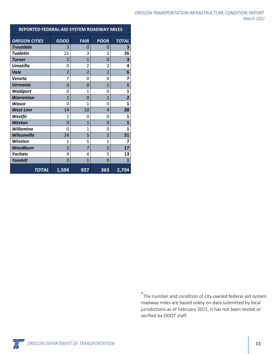| OREGON TRANSPORTATION INFRASTRUCTURE CONDITION. REPORT |            |
|--------------------------------------------------------|------------|
|                                                        | March 2021 |

| REPORTED FEDERAL-AID SYSTEM ROADWAY MILES |                |                |                |                         |  |
|-------------------------------------------|----------------|----------------|----------------|-------------------------|--|
| <b>OREGON CITIES</b>                      | <b>GOOD</b>    | <b>FAIR</b>    | <b>POOR</b>    | <b>TOTAL</b>            |  |
| <b>Troutdale</b>                          | 3              | 0              | 0              | 3                       |  |
| <b>Tualatin</b>                           | 21             | 3              | 2              | 26                      |  |
| <b>Turner</b>                             | $\overline{2}$ | $\mathbf{1}$   | 0              | 3                       |  |
| <b>Umatilla</b>                           | 0              | $\overline{2}$ | $\overline{2}$ | 4                       |  |
| Vale                                      | $\overline{2}$ | $\overline{2}$ | $\overline{2}$ | 6                       |  |
| Veneta                                    | 7              | 0              | 0              | $\overline{7}$          |  |
| Vernonia                                  | 0              | 0              | $\mathbf{1}$   | 1                       |  |
| <b>Waldport</b>                           | 0              | $\mathbf{1}$   | 0              | $\mathbf{1}$            |  |
| <b>Warrenton</b>                          | $\mathbf{1}$   | 0              | $\overline{1}$ | $\overline{\mathbf{2}}$ |  |
| Wasco                                     | 0              | 1              | 0              | $\mathbf{1}$            |  |
| <b>West Linn</b>                          | 14             | 10             | 4              | 28                      |  |
| Westfir                                   | 1              | 0              | 0              | 1                       |  |
| <b>Weston</b>                             | 0              | 1              | 0              | $\mathbf{1}$            |  |
| <b>Willamina</b>                          | 0              | $\mathbf{1}$   | 0              | $\mathbf{1}$            |  |
| <b>Wilsonville</b>                        | 24             | 5              | $\overline{2}$ | 31                      |  |
| <b>Winston</b>                            | 1              | 5              | $\mathbf{1}$   | 7                       |  |
| Woodburn                                  | 5              | $\overline{7}$ | 5              | 17                      |  |
| <b>Yachats</b>                            | 4              | 4              | 5              | 13                      |  |
| Yamhill                                   | 0              | 1              | 0              | 1                       |  |
| <b>TOTAL</b>                              | 1,504          | 837            | 363            | 2,704                   |  |

\*The number and condition of city-owned federal-aid system roadway miles are based solely on data submitted by local jurisdictions as of February 2021, it has not been tested or verified by ODOT staff.

**OREGON DEPARTMENT OF TRANSPORTATION 11**